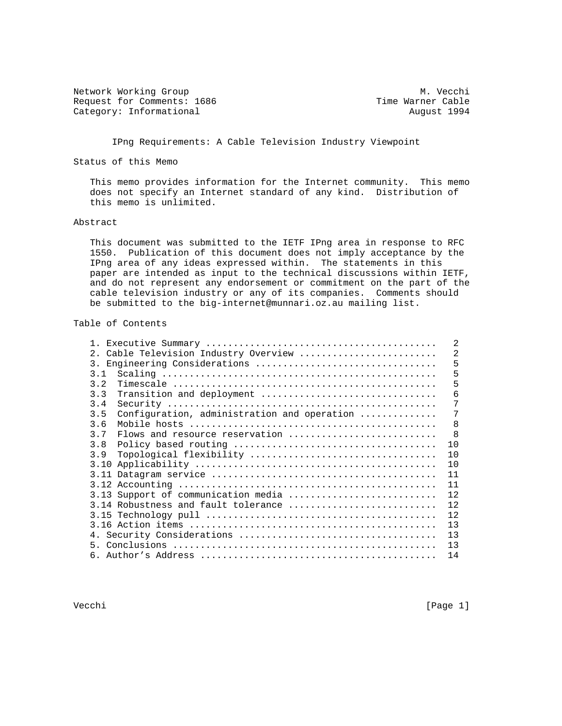Network Working Group<br>Request for Comments: 1686 Media Marner Cable Request for Comments: 1686 Time Warner Cable<br>
Category: Informational August 1994 Category: Informational

IPng Requirements: A Cable Television Industry Viewpoint

Status of this Memo

 This memo provides information for the Internet community. This memo does not specify an Internet standard of any kind. Distribution of this memo is unlimited.

#### Abstract

 This document was submitted to the IETF IPng area in response to RFC 1550. Publication of this document does not imply acceptance by the IPng area of any ideas expressed within. The statements in this paper are intended as input to the technical discussions within IETF, and do not represent any endorsement or commitment on the part of the cable television industry or any of its companies. Comments should be submitted to the big-internet@munnari.oz.au mailing list.

#### Table of Contents

|                  |                                             | 2  |
|------------------|---------------------------------------------|----|
| 2 <sub>1</sub>   | Cable Television Industry Overview          | 2  |
| $\overline{3}$ . | Engineering Considerations                  | 5  |
| 3.1              |                                             | 5  |
| 3.2              |                                             | 5  |
| 3.3              | Transition and deployment                   | 6  |
| 3.4              |                                             | 7  |
| 3.5              | Configuration, administration and operation | 7  |
| 3.6              |                                             | 8  |
| 3.7              | Flows and resource reservation              | -8 |
| 3.8              |                                             | 10 |
| 3.9              | Topological flexibility                     | 10 |
| 3.10             |                                             | 10 |
|                  |                                             | 11 |
|                  |                                             | 11 |
|                  | 3.13 Support of communication media         | 12 |
|                  | 3.14 Robustness and fault tolerance         | 12 |
|                  |                                             | 12 |
|                  |                                             | 13 |
|                  |                                             | 13 |
|                  |                                             | 13 |
|                  |                                             | 14 |

Vecchi [Page 1]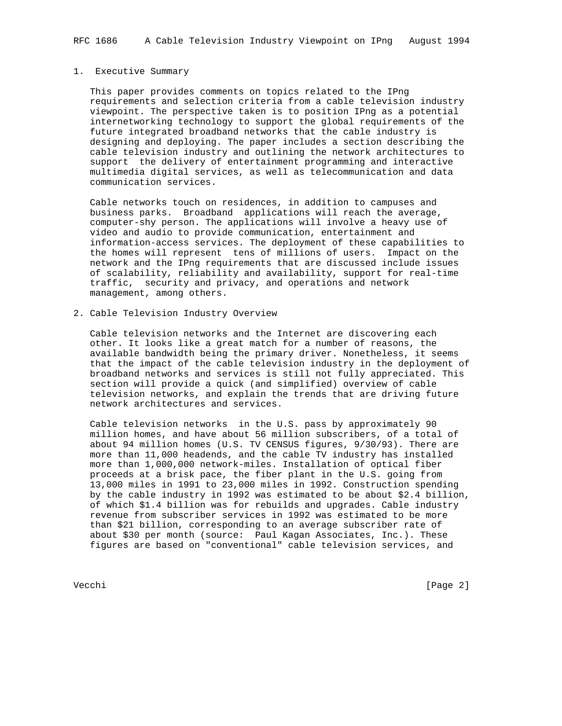#### 1. Executive Summary

 This paper provides comments on topics related to the IPng requirements and selection criteria from a cable television industry viewpoint. The perspective taken is to position IPng as a potential internetworking technology to support the global requirements of the future integrated broadband networks that the cable industry is designing and deploying. The paper includes a section describing the cable television industry and outlining the network architectures to support the delivery of entertainment programming and interactive multimedia digital services, as well as telecommunication and data communication services.

 Cable networks touch on residences, in addition to campuses and business parks. Broadband applications will reach the average, computer-shy person. The applications will involve a heavy use of video and audio to provide communication, entertainment and information-access services. The deployment of these capabilities to the homes will represent tens of millions of users. Impact on the network and the IPng requirements that are discussed include issues of scalability, reliability and availability, support for real-time traffic, security and privacy, and operations and network management, among others.

2. Cable Television Industry Overview

 Cable television networks and the Internet are discovering each other. It looks like a great match for a number of reasons, the available bandwidth being the primary driver. Nonetheless, it seems that the impact of the cable television industry in the deployment of broadband networks and services is still not fully appreciated. This section will provide a quick (and simplified) overview of cable television networks, and explain the trends that are driving future network architectures and services.

 Cable television networks in the U.S. pass by approximately 90 million homes, and have about 56 million subscribers, of a total of about 94 million homes (U.S. TV CENSUS figures, 9/30/93). There are more than 11,000 headends, and the cable TV industry has installed more than 1,000,000 network-miles. Installation of optical fiber proceeds at a brisk pace, the fiber plant in the U.S. going from 13,000 miles in 1991 to 23,000 miles in 1992. Construction spending by the cable industry in 1992 was estimated to be about \$2.4 billion, of which \$1.4 billion was for rebuilds and upgrades. Cable industry revenue from subscriber services in 1992 was estimated to be more than \$21 billion, corresponding to an average subscriber rate of about \$30 per month (source: Paul Kagan Associates, Inc.). These figures are based on "conventional" cable television services, and

Vecchi [Page 2]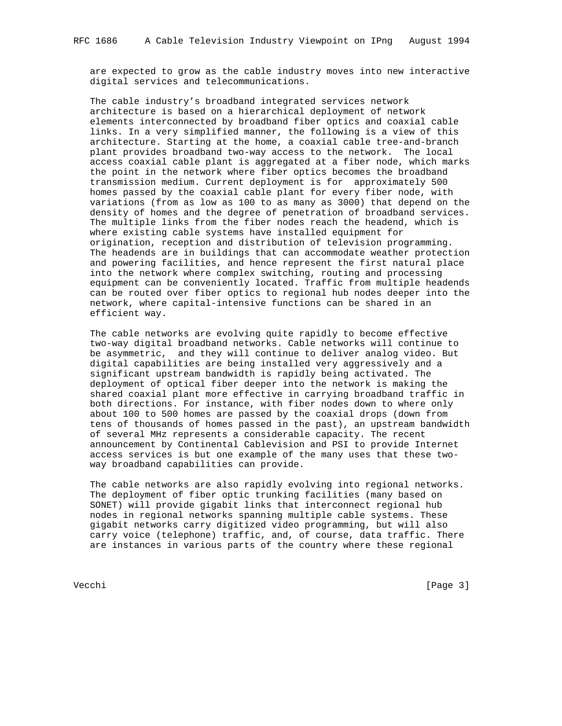are expected to grow as the cable industry moves into new interactive digital services and telecommunications.

 The cable industry's broadband integrated services network architecture is based on a hierarchical deployment of network elements interconnected by broadband fiber optics and coaxial cable links. In a very simplified manner, the following is a view of this architecture. Starting at the home, a coaxial cable tree-and-branch plant provides broadband two-way access to the network. The local access coaxial cable plant is aggregated at a fiber node, which marks the point in the network where fiber optics becomes the broadband transmission medium. Current deployment is for approximately 500 homes passed by the coaxial cable plant for every fiber node, with variations (from as low as 100 to as many as 3000) that depend on the density of homes and the degree of penetration of broadband services. The multiple links from the fiber nodes reach the headend, which is where existing cable systems have installed equipment for origination, reception and distribution of television programming. The headends are in buildings that can accommodate weather protection and powering facilities, and hence represent the first natural place into the network where complex switching, routing and processing equipment can be conveniently located. Traffic from multiple headends can be routed over fiber optics to regional hub nodes deeper into the network, where capital-intensive functions can be shared in an efficient way.

 The cable networks are evolving quite rapidly to become effective two-way digital broadband networks. Cable networks will continue to be asymmetric, and they will continue to deliver analog video. But digital capabilities are being installed very aggressively and a significant upstream bandwidth is rapidly being activated. The deployment of optical fiber deeper into the network is making the shared coaxial plant more effective in carrying broadband traffic in both directions. For instance, with fiber nodes down to where only about 100 to 500 homes are passed by the coaxial drops (down from tens of thousands of homes passed in the past), an upstream bandwidth of several MHz represents a considerable capacity. The recent announcement by Continental Cablevision and PSI to provide Internet access services is but one example of the many uses that these two way broadband capabilities can provide.

 The cable networks are also rapidly evolving into regional networks. The deployment of fiber optic trunking facilities (many based on SONET) will provide gigabit links that interconnect regional hub nodes in regional networks spanning multiple cable systems. These gigabit networks carry digitized video programming, but will also carry voice (telephone) traffic, and, of course, data traffic. There are instances in various parts of the country where these regional

Vecchi [Page 3]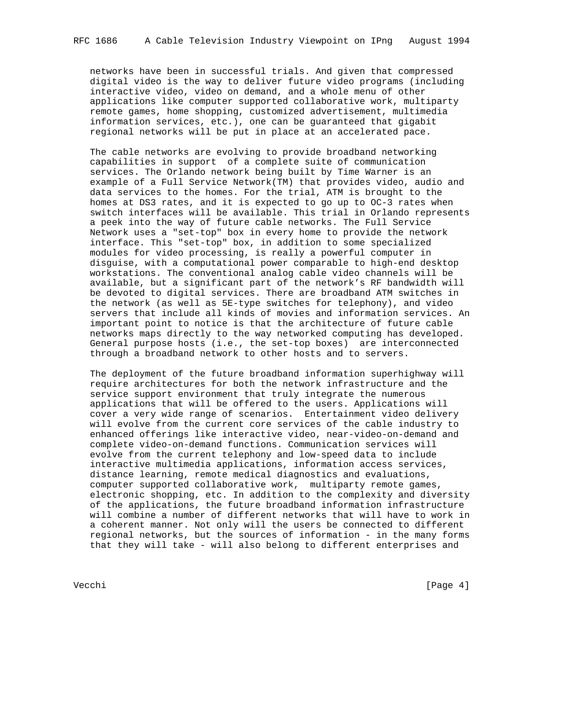networks have been in successful trials. And given that compressed digital video is the way to deliver future video programs (including interactive video, video on demand, and a whole menu of other applications like computer supported collaborative work, multiparty remote games, home shopping, customized advertisement, multimedia information services, etc.), one can be guaranteed that gigabit regional networks will be put in place at an accelerated pace.

 The cable networks are evolving to provide broadband networking capabilities in support of a complete suite of communication services. The Orlando network being built by Time Warner is an example of a Full Service Network(TM) that provides video, audio and data services to the homes. For the trial, ATM is brought to the homes at DS3 rates, and it is expected to go up to OC-3 rates when switch interfaces will be available. This trial in Orlando represents a peek into the way of future cable networks. The Full Service Network uses a "set-top" box in every home to provide the network interface. This "set-top" box, in addition to some specialized modules for video processing, is really a powerful computer in disguise, with a computational power comparable to high-end desktop workstations. The conventional analog cable video channels will be available, but a significant part of the network's RF bandwidth will be devoted to digital services. There are broadband ATM switches in the network (as well as 5E-type switches for telephony), and video servers that include all kinds of movies and information services. An important point to notice is that the architecture of future cable networks maps directly to the way networked computing has developed. General purpose hosts (i.e., the set-top boxes) are interconnected through a broadband network to other hosts and to servers.

 The deployment of the future broadband information superhighway will require architectures for both the network infrastructure and the service support environment that truly integrate the numerous applications that will be offered to the users. Applications will cover a very wide range of scenarios. Entertainment video delivery will evolve from the current core services of the cable industry to enhanced offerings like interactive video, near-video-on-demand and complete video-on-demand functions. Communication services will evolve from the current telephony and low-speed data to include interactive multimedia applications, information access services, distance learning, remote medical diagnostics and evaluations, computer supported collaborative work, multiparty remote games, electronic shopping, etc. In addition to the complexity and diversity of the applications, the future broadband information infrastructure will combine a number of different networks that will have to work in a coherent manner. Not only will the users be connected to different regional networks, but the sources of information - in the many forms that they will take - will also belong to different enterprises and

Vecchi [Page 4]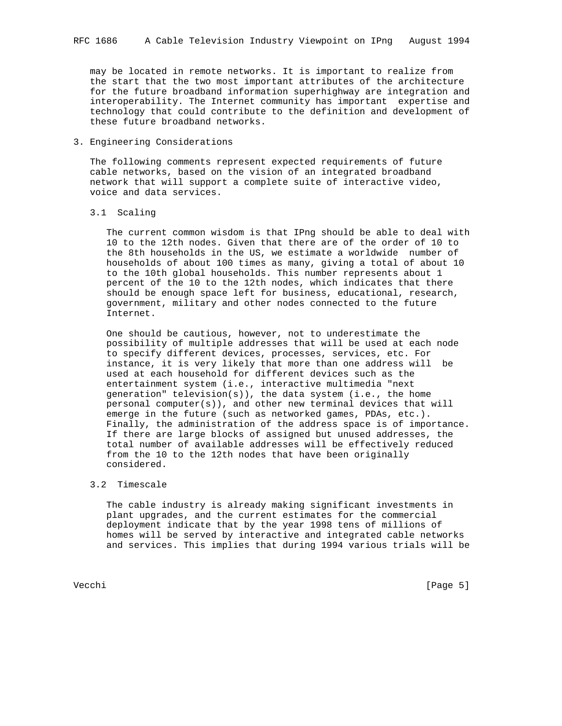may be located in remote networks. It is important to realize from the start that the two most important attributes of the architecture for the future broadband information superhighway are integration and interoperability. The Internet community has important expertise and technology that could contribute to the definition and development of these future broadband networks.

3. Engineering Considerations

 The following comments represent expected requirements of future cable networks, based on the vision of an integrated broadband network that will support a complete suite of interactive video, voice and data services.

3.1 Scaling

 The current common wisdom is that IPng should be able to deal with 10 to the 12th nodes. Given that there are of the order of 10 to the 8th households in the US, we estimate a worldwide number of households of about 100 times as many, giving a total of about 10 to the 10th global households. This number represents about 1 percent of the 10 to the 12th nodes, which indicates that there should be enough space left for business, educational, research, government, military and other nodes connected to the future Internet.

 One should be cautious, however, not to underestimate the possibility of multiple addresses that will be used at each node to specify different devices, processes, services, etc. For instance, it is very likely that more than one address will be used at each household for different devices such as the entertainment system (i.e., interactive multimedia "next generation" television(s)), the data system (i.e., the home personal computer(s)), and other new terminal devices that will emerge in the future (such as networked games, PDAs, etc.). Finally, the administration of the address space is of importance. If there are large blocks of assigned but unused addresses, the total number of available addresses will be effectively reduced from the 10 to the 12th nodes that have been originally considered.

## 3.2 Timescale

 The cable industry is already making significant investments in plant upgrades, and the current estimates for the commercial deployment indicate that by the year 1998 tens of millions of homes will be served by interactive and integrated cable networks and services. This implies that during 1994 various trials will be

Vecchi [Page 5]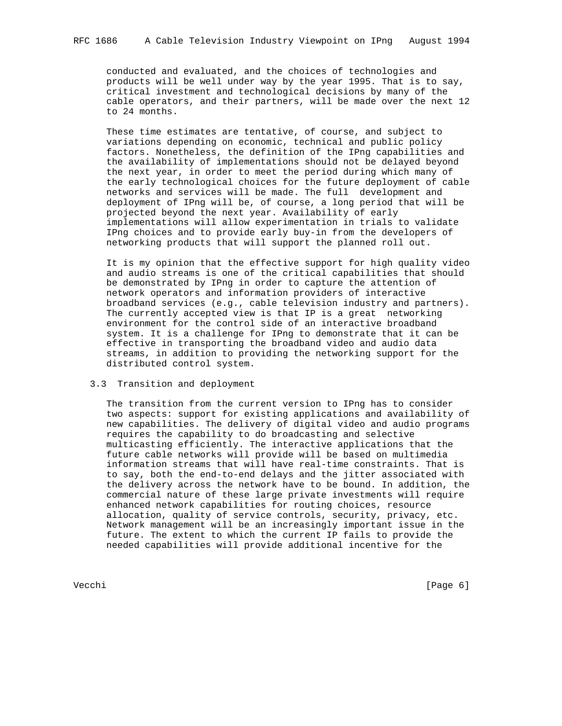conducted and evaluated, and the choices of technologies and products will be well under way by the year 1995. That is to say, critical investment and technological decisions by many of the cable operators, and their partners, will be made over the next 12 to 24 months.

 These time estimates are tentative, of course, and subject to variations depending on economic, technical and public policy factors. Nonetheless, the definition of the IPng capabilities and the availability of implementations should not be delayed beyond the next year, in order to meet the period during which many of the early technological choices for the future deployment of cable networks and services will be made. The full development and deployment of IPng will be, of course, a long period that will be projected beyond the next year. Availability of early implementations will allow experimentation in trials to validate IPng choices and to provide early buy-in from the developers of networking products that will support the planned roll out.

 It is my opinion that the effective support for high quality video and audio streams is one of the critical capabilities that should be demonstrated by IPng in order to capture the attention of network operators and information providers of interactive broadband services (e.g., cable television industry and partners). The currently accepted view is that IP is a great networking environment for the control side of an interactive broadband system. It is a challenge for IPng to demonstrate that it can be effective in transporting the broadband video and audio data streams, in addition to providing the networking support for the distributed control system.

# 3.3 Transition and deployment

 The transition from the current version to IPng has to consider two aspects: support for existing applications and availability of new capabilities. The delivery of digital video and audio programs requires the capability to do broadcasting and selective multicasting efficiently. The interactive applications that the future cable networks will provide will be based on multimedia information streams that will have real-time constraints. That is to say, both the end-to-end delays and the jitter associated with the delivery across the network have to be bound. In addition, the commercial nature of these large private investments will require enhanced network capabilities for routing choices, resource allocation, quality of service controls, security, privacy, etc. Network management will be an increasingly important issue in the future. The extent to which the current IP fails to provide the needed capabilities will provide additional incentive for the

Vecchi [Page 6]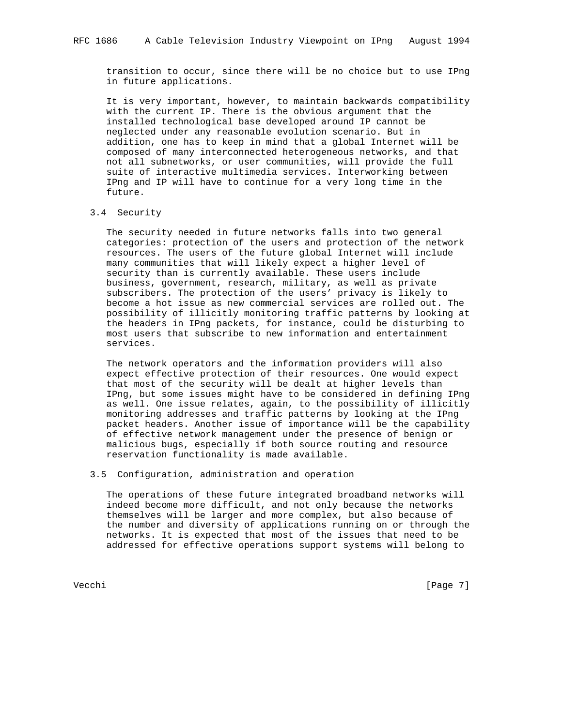transition to occur, since there will be no choice but to use IPng in future applications.

 It is very important, however, to maintain backwards compatibility with the current IP. There is the obvious argument that the installed technological base developed around IP cannot be neglected under any reasonable evolution scenario. But in addition, one has to keep in mind that a global Internet will be composed of many interconnected heterogeneous networks, and that not all subnetworks, or user communities, will provide the full suite of interactive multimedia services. Interworking between IPng and IP will have to continue for a very long time in the future.

3.4 Security

 The security needed in future networks falls into two general categories: protection of the users and protection of the network resources. The users of the future global Internet will include many communities that will likely expect a higher level of security than is currently available. These users include business, government, research, military, as well as private subscribers. The protection of the users' privacy is likely to become a hot issue as new commercial services are rolled out. The possibility of illicitly monitoring traffic patterns by looking at the headers in IPng packets, for instance, could be disturbing to most users that subscribe to new information and entertainment services.

 The network operators and the information providers will also expect effective protection of their resources. One would expect that most of the security will be dealt at higher levels than IPng, but some issues might have to be considered in defining IPng as well. One issue relates, again, to the possibility of illicitly monitoring addresses and traffic patterns by looking at the IPng packet headers. Another issue of importance will be the capability of effective network management under the presence of benign or malicious bugs, especially if both source routing and resource reservation functionality is made available.

## 3.5 Configuration, administration and operation

 The operations of these future integrated broadband networks will indeed become more difficult, and not only because the networks themselves will be larger and more complex, but also because of the number and diversity of applications running on or through the networks. It is expected that most of the issues that need to be addressed for effective operations support systems will belong to

Vecchi [Page 7]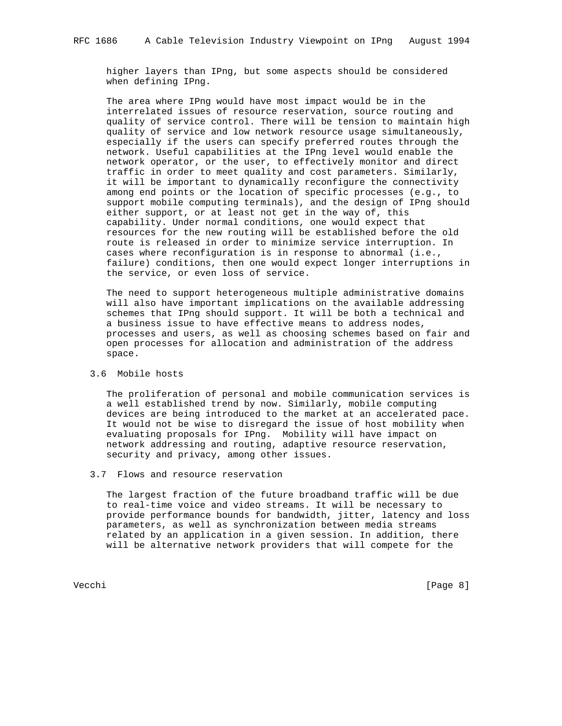higher layers than IPng, but some aspects should be considered when defining IPng.

 The area where IPng would have most impact would be in the interrelated issues of resource reservation, source routing and quality of service control. There will be tension to maintain high quality of service and low network resource usage simultaneously, especially if the users can specify preferred routes through the network. Useful capabilities at the IPng level would enable the network operator, or the user, to effectively monitor and direct traffic in order to meet quality and cost parameters. Similarly, it will be important to dynamically reconfigure the connectivity among end points or the location of specific processes (e.g., to support mobile computing terminals), and the design of IPng should either support, or at least not get in the way of, this capability. Under normal conditions, one would expect that resources for the new routing will be established before the old route is released in order to minimize service interruption. In cases where reconfiguration is in response to abnormal (i.e., failure) conditions, then one would expect longer interruptions in the service, or even loss of service.

 The need to support heterogeneous multiple administrative domains will also have important implications on the available addressing schemes that IPng should support. It will be both a technical and a business issue to have effective means to address nodes, processes and users, as well as choosing schemes based on fair and open processes for allocation and administration of the address space.

3.6 Mobile hosts

 The proliferation of personal and mobile communication services is a well established trend by now. Similarly, mobile computing devices are being introduced to the market at an accelerated pace. It would not be wise to disregard the issue of host mobility when evaluating proposals for IPng. Mobility will have impact on network addressing and routing, adaptive resource reservation, security and privacy, among other issues.

3.7 Flows and resource reservation

 The largest fraction of the future broadband traffic will be due to real-time voice and video streams. It will be necessary to provide performance bounds for bandwidth, jitter, latency and loss parameters, as well as synchronization between media streams related by an application in a given session. In addition, there will be alternative network providers that will compete for the

Vecchi [Page 8]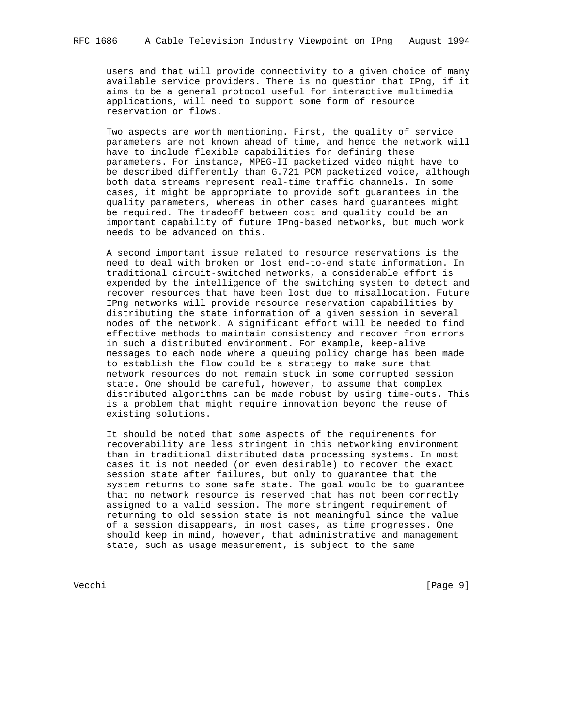users and that will provide connectivity to a given choice of many available service providers. There is no question that IPng, if it aims to be a general protocol useful for interactive multimedia applications, will need to support some form of resource reservation or flows.

 Two aspects are worth mentioning. First, the quality of service parameters are not known ahead of time, and hence the network will have to include flexible capabilities for defining these parameters. For instance, MPEG-II packetized video might have to be described differently than G.721 PCM packetized voice, although both data streams represent real-time traffic channels. In some cases, it might be appropriate to provide soft guarantees in the quality parameters, whereas in other cases hard guarantees might be required. The tradeoff between cost and quality could be an important capability of future IPng-based networks, but much work needs to be advanced on this.

 A second important issue related to resource reservations is the need to deal with broken or lost end-to-end state information. In traditional circuit-switched networks, a considerable effort is expended by the intelligence of the switching system to detect and recover resources that have been lost due to misallocation. Future IPng networks will provide resource reservation capabilities by distributing the state information of a given session in several nodes of the network. A significant effort will be needed to find effective methods to maintain consistency and recover from errors in such a distributed environment. For example, keep-alive messages to each node where a queuing policy change has been made to establish the flow could be a strategy to make sure that network resources do not remain stuck in some corrupted session state. One should be careful, however, to assume that complex distributed algorithms can be made robust by using time-outs. This is a problem that might require innovation beyond the reuse of existing solutions.

 It should be noted that some aspects of the requirements for recoverability are less stringent in this networking environment than in traditional distributed data processing systems. In most cases it is not needed (or even desirable) to recover the exact session state after failures, but only to guarantee that the system returns to some safe state. The goal would be to guarantee that no network resource is reserved that has not been correctly assigned to a valid session. The more stringent requirement of returning to old session state is not meaningful since the value of a session disappears, in most cases, as time progresses. One should keep in mind, however, that administrative and management state, such as usage measurement, is subject to the same

Vecchi [Page 9]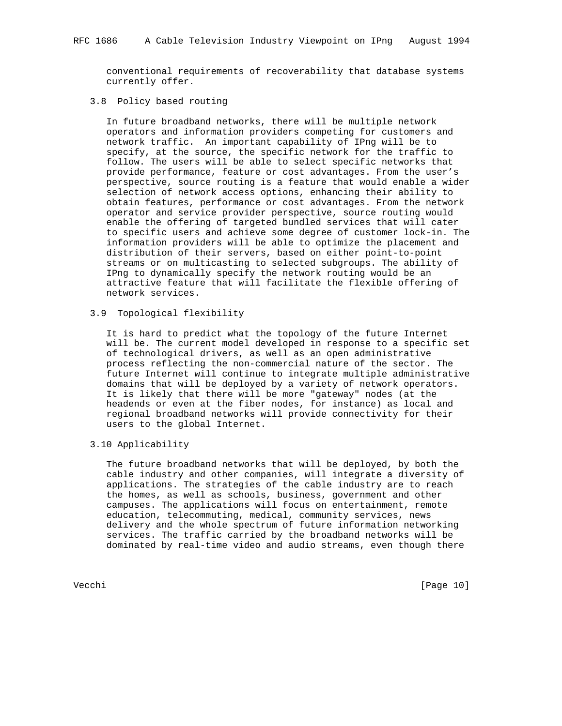conventional requirements of recoverability that database systems currently offer.

# 3.8 Policy based routing

 In future broadband networks, there will be multiple network operators and information providers competing for customers and network traffic. An important capability of IPng will be to specify, at the source, the specific network for the traffic to follow. The users will be able to select specific networks that provide performance, feature or cost advantages. From the user's perspective, source routing is a feature that would enable a wider selection of network access options, enhancing their ability to obtain features, performance or cost advantages. From the network operator and service provider perspective, source routing would enable the offering of targeted bundled services that will cater to specific users and achieve some degree of customer lock-in. The information providers will be able to optimize the placement and distribution of their servers, based on either point-to-point streams or on multicasting to selected subgroups. The ability of IPng to dynamically specify the network routing would be an attractive feature that will facilitate the flexible offering of network services.

## 3.9 Topological flexibility

 It is hard to predict what the topology of the future Internet will be. The current model developed in response to a specific set of technological drivers, as well as an open administrative process reflecting the non-commercial nature of the sector. The future Internet will continue to integrate multiple administrative domains that will be deployed by a variety of network operators. It is likely that there will be more "gateway" nodes (at the headends or even at the fiber nodes, for instance) as local and regional broadband networks will provide connectivity for their users to the global Internet.

3.10 Applicability

 The future broadband networks that will be deployed, by both the cable industry and other companies, will integrate a diversity of applications. The strategies of the cable industry are to reach the homes, as well as schools, business, government and other campuses. The applications will focus on entertainment, remote education, telecommuting, medical, community services, news delivery and the whole spectrum of future information networking services. The traffic carried by the broadband networks will be dominated by real-time video and audio streams, even though there

Vecchi [Page 10]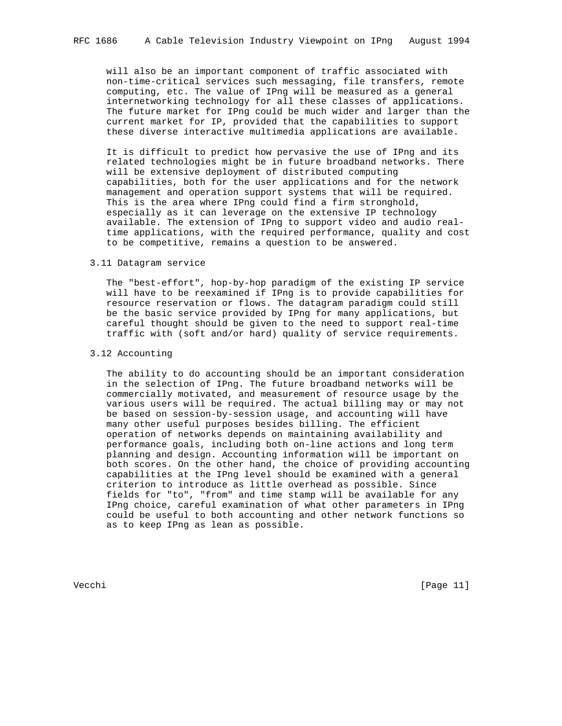will also be an important component of traffic associated with non-time-critical services such messaging, file transfers, remote computing, etc. The value of IPng will be measured as a general internetworking technology for all these classes of applications. The future market for IPng could be much wider and larger than the current market for IP, provided that the capabilities to support these diverse interactive multimedia applications are available.

 It is difficult to predict how pervasive the use of IPng and its related technologies might be in future broadband networks. There will be extensive deployment of distributed computing capabilities, both for the user applications and for the network management and operation support systems that will be required. This is the area where IPng could find a firm stronghold, especially as it can leverage on the extensive IP technology available. The extension of IPng to support video and audio real time applications, with the required performance, quality and cost to be competitive, remains a question to be answered.

#### 3.11 Datagram service

 The "best-effort", hop-by-hop paradigm of the existing IP service will have to be reexamined if IPng is to provide capabilities for resource reservation or flows. The datagram paradigm could still be the basic service provided by IPng for many applications, but careful thought should be given to the need to support real-time traffic with (soft and/or hard) quality of service requirements.

# 3.12 Accounting

 The ability to do accounting should be an important consideration in the selection of IPng. The future broadband networks will be commercially motivated, and measurement of resource usage by the various users will be required. The actual billing may or may not be based on session-by-session usage, and accounting will have many other useful purposes besides billing. The efficient operation of networks depends on maintaining availability and performance goals, including both on-line actions and long term planning and design. Accounting information will be important on both scores. On the other hand, the choice of providing accounting capabilities at the IPng level should be examined with a general criterion to introduce as little overhead as possible. Since fields for "to", "from" and time stamp will be available for any IPng choice, careful examination of what other parameters in IPng could be useful to both accounting and other network functions so as to keep IPng as lean as possible.

Vecchi [Page 11]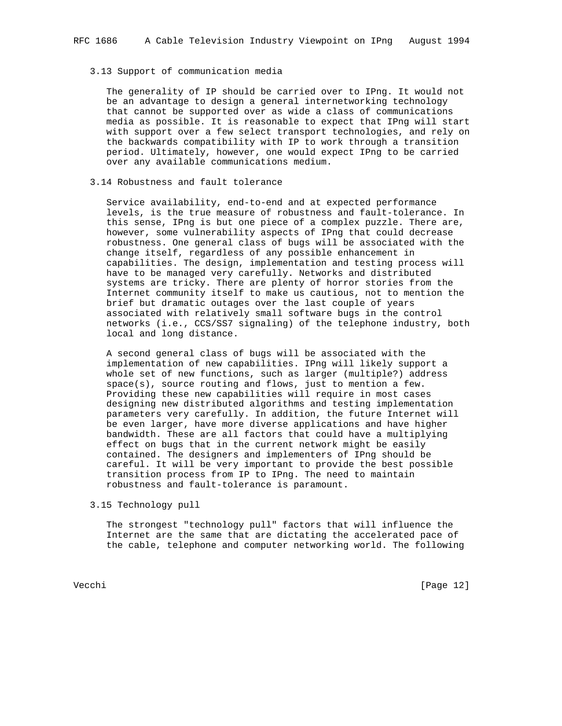## 3.13 Support of communication media

 The generality of IP should be carried over to IPng. It would not be an advantage to design a general internetworking technology that cannot be supported over as wide a class of communications media as possible. It is reasonable to expect that IPng will start with support over a few select transport technologies, and rely on the backwards compatibility with IP to work through a transition period. Ultimately, however, one would expect IPng to be carried over any available communications medium.

# 3.14 Robustness and fault tolerance

 Service availability, end-to-end and at expected performance levels, is the true measure of robustness and fault-tolerance. In this sense, IPng is but one piece of a complex puzzle. There are, however, some vulnerability aspects of IPng that could decrease robustness. One general class of bugs will be associated with the change itself, regardless of any possible enhancement in capabilities. The design, implementation and testing process will have to be managed very carefully. Networks and distributed systems are tricky. There are plenty of horror stories from the Internet community itself to make us cautious, not to mention the brief but dramatic outages over the last couple of years associated with relatively small software bugs in the control networks (i.e., CCS/SS7 signaling) of the telephone industry, both local and long distance.

 A second general class of bugs will be associated with the implementation of new capabilities. IPng will likely support a whole set of new functions, such as larger (multiple?) address space(s), source routing and flows, just to mention a few. Providing these new capabilities will require in most cases designing new distributed algorithms and testing implementation parameters very carefully. In addition, the future Internet will be even larger, have more diverse applications and have higher bandwidth. These are all factors that could have a multiplying effect on bugs that in the current network might be easily contained. The designers and implementers of IPng should be careful. It will be very important to provide the best possible transition process from IP to IPng. The need to maintain robustness and fault-tolerance is paramount.

3.15 Technology pull

 The strongest "technology pull" factors that will influence the Internet are the same that are dictating the accelerated pace of the cable, telephone and computer networking world. The following

Vecchi [Page 12]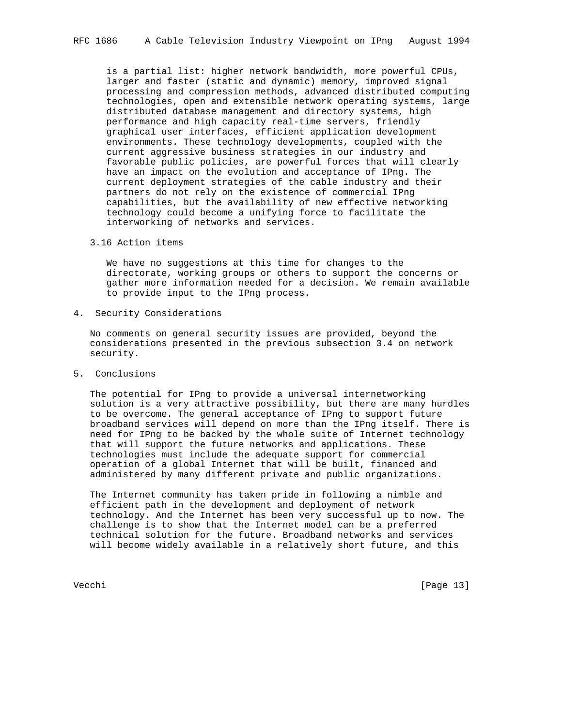is a partial list: higher network bandwidth, more powerful CPUs, larger and faster (static and dynamic) memory, improved signal processing and compression methods, advanced distributed computing technologies, open and extensible network operating systems, large distributed database management and directory systems, high performance and high capacity real-time servers, friendly graphical user interfaces, efficient application development environments. These technology developments, coupled with the current aggressive business strategies in our industry and favorable public policies, are powerful forces that will clearly have an impact on the evolution and acceptance of IPng. The current deployment strategies of the cable industry and their partners do not rely on the existence of commercial IPng capabilities, but the availability of new effective networking technology could become a unifying force to facilitate the interworking of networks and services.

3.16 Action items

 We have no suggestions at this time for changes to the directorate, working groups or others to support the concerns or gather more information needed for a decision. We remain available to provide input to the IPng process.

4. Security Considerations

 No comments on general security issues are provided, beyond the considerations presented in the previous subsection 3.4 on network security.

5. Conclusions

 The potential for IPng to provide a universal internetworking solution is a very attractive possibility, but there are many hurdles to be overcome. The general acceptance of IPng to support future broadband services will depend on more than the IPng itself. There is need for IPng to be backed by the whole suite of Internet technology that will support the future networks and applications. These technologies must include the adequate support for commercial operation of a global Internet that will be built, financed and administered by many different private and public organizations.

 The Internet community has taken pride in following a nimble and efficient path in the development and deployment of network technology. And the Internet has been very successful up to now. The challenge is to show that the Internet model can be a preferred technical solution for the future. Broadband networks and services will become widely available in a relatively short future, and this

Vecchi [Page 13]